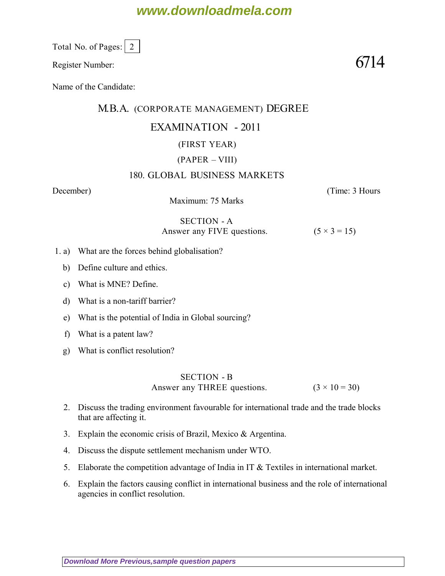# **www.downloadmela.com**

Total No. of Pages:  $\vert 2 \vert$ 

Register Number:  $6714$ 

Name of the Candidate:

### M.B.A. (CORPORATE MANAGEMENT) DEGREE

## EXAMINATION - 2011

### (FIRST YEAR)

### (PAPER – VIII)

#### 180. GLOBAL BUSINESS MARKETS

Maximum: 75 Marks

*December*) (*Time: 3 Hours*

SECTION - A Answer any FIVE questions.  $(5 \times 3 = 15)$ 

1. a) What are the forces behind globalisation?

- b) Define culture and ethics.
- c) What is MNE? Define.
- d) What is a non-tariff barrier?
- e) What is the potential of India in Global sourcing?
- f) What is a patent law?
- g) What is conflict resolution?

SECTION - B Answer any THREE questions.  $(3 \times 10 = 30)$ 

- 2. Discuss the trading environment favourable for international trade and the trade blocks that are affecting it.
- 3. Explain the economic crisis of Brazil, Mexico & Argentina.
- 4. Discuss the dispute settlement mechanism under WTO.
- 5. Elaborate the competition advantage of India in IT & Textiles in international market.
- 6. Explain the factors causing conflict in international business and the role of international agencies in conflict resolution.